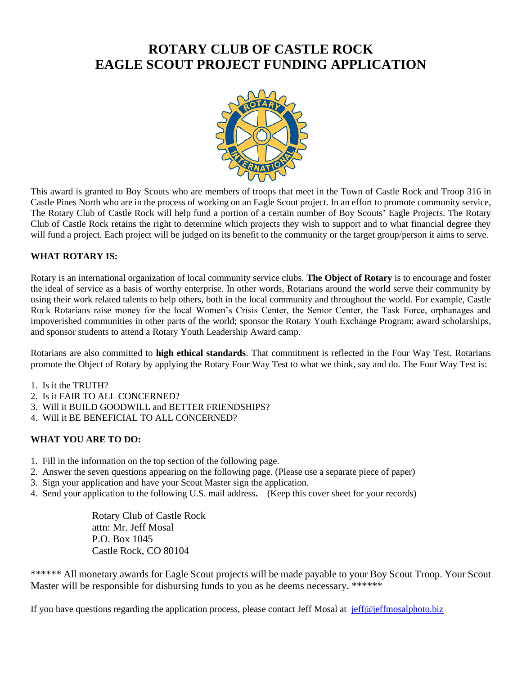# **ROTARY CLUB OF CASTLE ROCK EAGLE SCOUT PROJECT FUNDING APPLICATION**



This award is granted to Boy Scouts who are members of troops that meet in the Town of Castle Rock and Troop 316 in Castle Pines North who are in the process of working on an Eagle Scout project. In an effort to promote community service, The Rotary Club of Castle Rock will help fund a portion of a certain number of Boy Scouts' Eagle Projects. The Rotary Club of Castle Rock retains the right to determine which projects they wish to support and to what financial degree they will fund a project. Each project will be judged on its benefit to the community or the target group/person it aims to serve.

#### **WHAT ROTARY IS:**

Rotary is an international organization of local community service clubs. **The Object of Rotary** is to encourage and foster the ideal of service as a basis of worthy enterprise. In other words, Rotarians around the world serve their community by using their work related talents to help others, both in the local community and throughout the world. For example, Castle Rock Rotarians raise money for the local Women's Crisis Center, the Senior Center, the Task Force, orphanages and impoverished communities in other parts of the world; sponsor the Rotary Youth Exchange Program; award scholarships, and sponsor students to attend a Rotary Youth Leadership Award camp.

Rotarians are also committed to **high ethical standards**. That commitment is reflected in the Four Way Test. Rotarians promote the Object of Rotary by applying the Rotary Four Way Test to what we think, say and do. The Four Way Test is:

- 1. Is it the TRUTH?
- 2. Is it FAIR TO ALL CONCERNED?
- 3. Will it BUILD GOODWILL and BETTER FRIENDSHIPS?
- 4. Will it BE BENEFICIAL TO ALL CONCERNED?

### **WHAT YOU ARE TO DO:**

- 1. Fill in the information on the top section of the following page.
- 2. Answer the seven questions appearing on the following page. (Please use a separate piece of paper)
- 3. Sign your application and have your Scout Master sign the application.
- 4. Send your application to the following U.S. mail address**.** (Keep this cover sheet for your records)

Rotary Club of Castle Rock attn: Mr. Jeff Mosal P.O. Box 1045 Castle Rock, CO 80104

\*\*\*\*\*\* All monetary awards for Eagle Scout projects will be made payable to your Boy Scout Troop. Your Scout Master will be responsible for disbursing funds to you as he deems necessary. \*\*\*\*\*\*

If you have questions regarding the application process, please contact Jeff Mosal at [jeff@jeffmosalphoto.biz](file:///C:/Users/Jeff/AppData/Local/Microsoft/Windows/Temporary%20Internet%20Files/Content.Outlook/V7TZX8AK/jeff@jeffmosalphoto.biz)